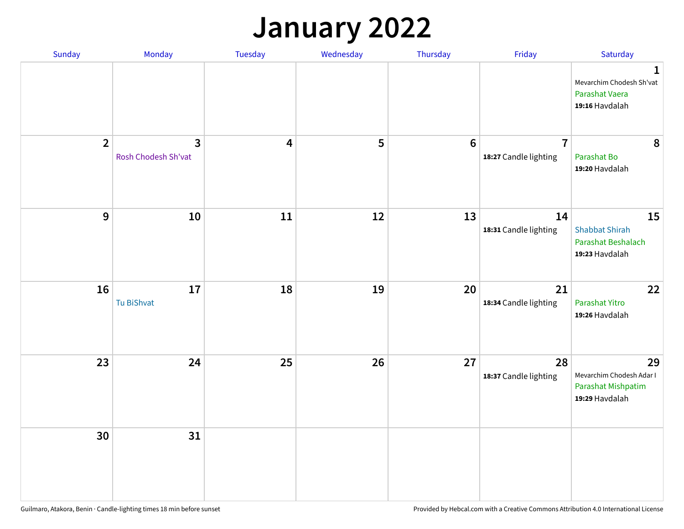## **January 2022**

| Sunday         | Monday                   | Tuesday                 | Wednesday | Thursday         | Friday                                  | Saturday                                                                     |
|----------------|--------------------------|-------------------------|-----------|------------------|-----------------------------------------|------------------------------------------------------------------------------|
|                |                          |                         |           |                  |                                         | $\mathbf{1}$<br>Mevarchim Chodesh Sh'vat<br>Parashat Vaera<br>19:16 Havdalah |
| $\overline{2}$ | 3<br>Rosh Chodesh Sh'vat | $\overline{\mathbf{4}}$ | 5         | $\boldsymbol{6}$ | $\overline{7}$<br>18:27 Candle lighting | 8<br>Parashat Bo<br>19:20 Havdalah                                           |
| $\mathbf{9}$   | 10                       | ${\bf 11}$              | 12        | 13               | 14<br>18:31 Candle lighting             | 15<br><b>Shabbat Shirah</b><br>Parashat Beshalach<br>19:23 Havdalah          |
| 16             | 17<br>Tu BiShvat         | 18                      | 19        | 20               | 21<br>18:34 Candle lighting             | 22<br>Parashat Yitro<br>19:26 Havdalah                                       |
| 23             | 24                       | 25                      | 26        | 27               | 28<br>18:37 Candle lighting             | 29<br>Mevarchim Chodesh Adar I<br>Parashat Mishpatim<br>19:29 Havdalah       |
| 30             | 31                       |                         |           |                  |                                         |                                                                              |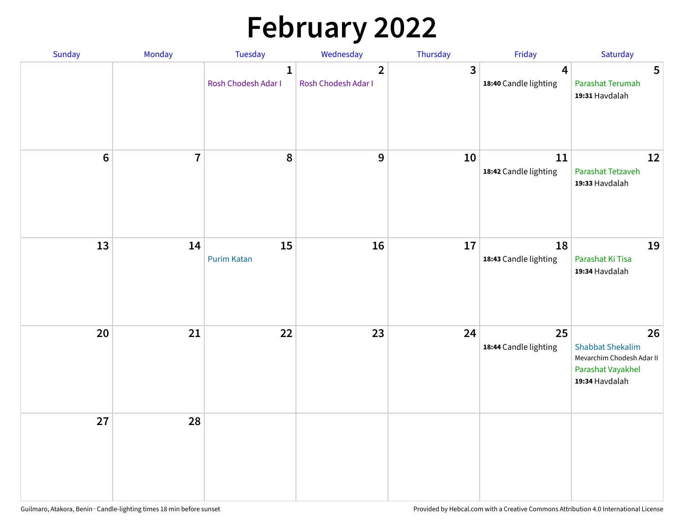# **February 2022**

| Sunday | Monday         | Tuesday                             | Wednesday                             | Thursday                | Friday                                           | Saturday                                                                                          |
|--------|----------------|-------------------------------------|---------------------------------------|-------------------------|--------------------------------------------------|---------------------------------------------------------------------------------------------------|
|        |                | $\mathbf{1}$<br>Rosh Chodesh Adar I | $\overline{2}$<br>Rosh Chodesh Adar I | $\overline{\mathbf{3}}$ | $\overline{\mathbf{4}}$<br>18:40 Candle lighting | 5<br>Parashat Terumah<br>19:31 Havdalah                                                           |
| $6\,$  | $\overline{7}$ | 8                                   | 9                                     | 10                      | 11<br>18:42 Candle lighting                      | 12<br>Parashat Tetzaveh<br>19:33 Havdalah                                                         |
| 13     | 14             | 15<br><b>Purim Katan</b>            | 16                                    | 17                      | 18<br>18:43 Candle lighting                      | 19<br>Parashat Ki Tisa<br>19:34 Havdalah                                                          |
| 20     | 21             | 22                                  | 23                                    | 24                      | 25<br>18:44 Candle lighting                      | 26<br><b>Shabbat Shekalim</b><br>Mevarchim Chodesh Adar II<br>Parashat Vayakhel<br>19:34 Havdalah |
| 27     | 28             |                                     |                                       |                         |                                                  |                                                                                                   |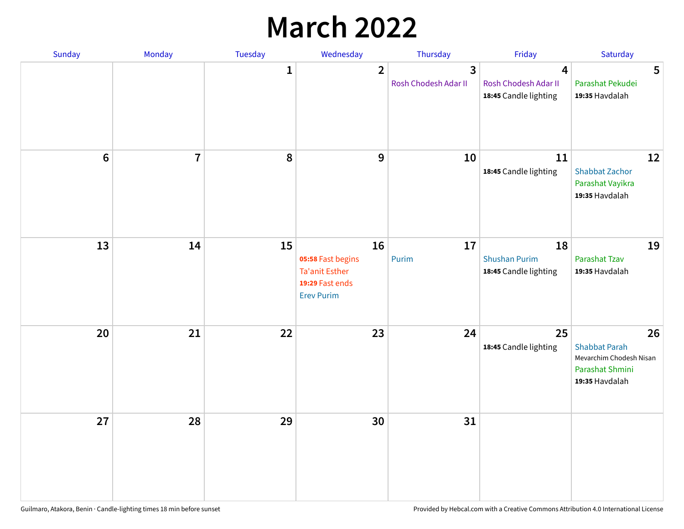## **March 2022**

| Sunday | Monday         | <b>Tuesday</b> | Wednesday                                                                         | Thursday                  | Friday                                              | Saturday                                                                                   |
|--------|----------------|----------------|-----------------------------------------------------------------------------------|---------------------------|-----------------------------------------------------|--------------------------------------------------------------------------------------------|
|        |                | $\mathbf{1}$   | $\overline{2}$                                                                    | 3<br>Rosh Chodesh Adar II | 4<br>Rosh Chodesh Adar II<br>18:45 Candle lighting  | 5<br>Parashat Pekudei<br>19:35 Havdalah                                                    |
| $6\,$  | $\overline{7}$ | 8              | 9                                                                                 | 10                        | 11<br>18:45 Candle lighting                         | 12<br><b>Shabbat Zachor</b><br>Parashat Vayikra<br>19:35 Havdalah                          |
| 13     | 14             | 15             | 16<br>05:58 Fast begins<br>Ta'anit Esther<br>19:29 Fast ends<br><b>Erev Purim</b> | 17<br>Purim               | 18<br><b>Shushan Purim</b><br>18:45 Candle lighting | 19<br>Parashat Tzav<br>19:35 Havdalah                                                      |
| 20     | 21             | 22             | 23                                                                                | 24                        | 25<br>18:45 Candle lighting                         | 26<br><b>Shabbat Parah</b><br>Mevarchim Chodesh Nisan<br>Parashat Shmini<br>19:35 Havdalah |
| 27     | 28             | 29             | 30                                                                                | 31                        |                                                     |                                                                                            |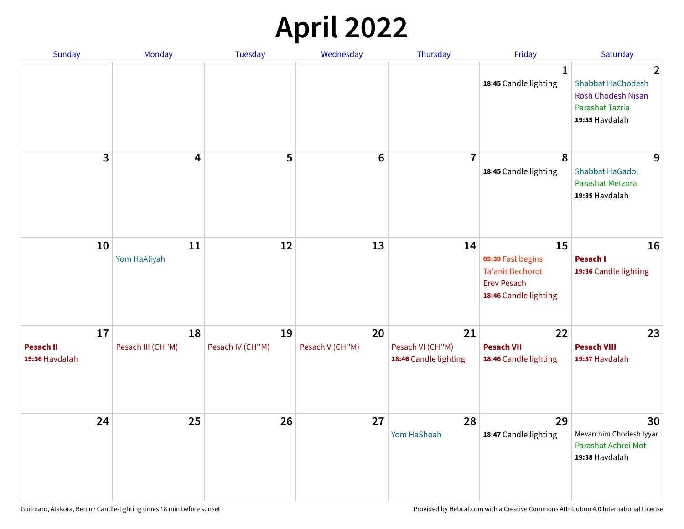## **April 2022**

| <b>Sunday</b>                            | Monday                  | Tuesday                | Wednesday             | Thursday                                        | Friday                                                                                            | Saturday                                                                                                     |
|------------------------------------------|-------------------------|------------------------|-----------------------|-------------------------------------------------|---------------------------------------------------------------------------------------------------|--------------------------------------------------------------------------------------------------------------|
|                                          |                         |                        |                       |                                                 | 1<br>18:45 Candle lighting                                                                        | $\overline{2}$<br><b>Shabbat HaChodesh</b><br><b>Rosh Chodesh Nisan</b><br>Parashat Tazria<br>19:35 Havdalah |
| 3                                        | 4                       | 5                      | $6\phantom{1}$        | $\overline{7}$                                  | 8<br>18:45 Candle lighting                                                                        | 9<br><b>Shabbat HaGadol</b><br>Parashat Metzora<br>19:35 Havdalah                                            |
| 10                                       | 11<br>Yom HaAliyah      | 12                     | 13                    | 14                                              | 15<br>05:39 Fast begins<br><b>Ta'anit Bechorot</b><br><b>Erev Pesach</b><br>18:46 Candle lighting | 16<br>Pesach I<br>19:36 Candle lighting                                                                      |
| 17<br><b>Pesach II</b><br>19:36 Havdalah | 18<br>Pesach III (CH"M) | 19<br>Pesach IV (CH"M) | 20<br>Pesach V (CH"M) | 21<br>Pesach VI (CH"M)<br>18:46 Candle lighting | 22<br><b>Pesach VII</b><br>18:46 Candle lighting                                                  | 23<br><b>Pesach VIII</b><br>19:37 Havdalah                                                                   |
| 24                                       | 25                      | 26                     | 27                    | 28<br>Yom HaShoah                               | 29<br>18:47 Candle lighting                                                                       | 30<br>Mevarchim Chodesh Iyyar<br>Parashat Achrei Mot<br>19:38 Havdalah                                       |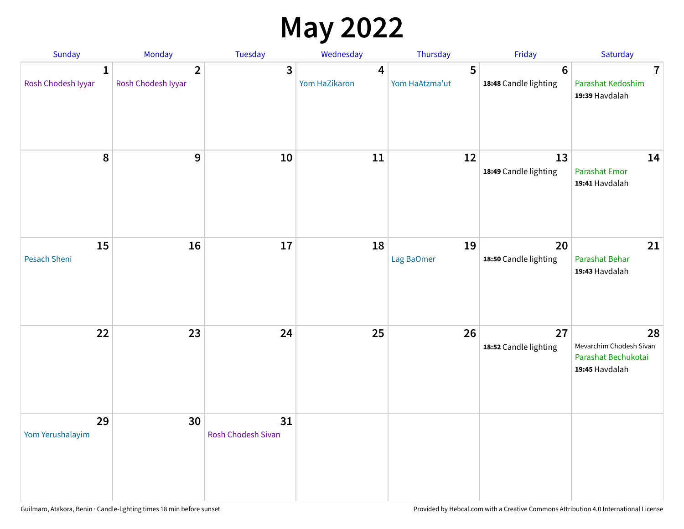## **May 2022**

| Sunday                             | Monday                               | Tuesday                         | Wednesday          | Thursday            | Friday                                   | Saturday                                                               |
|------------------------------------|--------------------------------------|---------------------------------|--------------------|---------------------|------------------------------------------|------------------------------------------------------------------------|
| $\mathbf{1}$<br>Rosh Chodesh Iyyar | $\overline{2}$<br>Rosh Chodesh Iyyar | 3                               | 4<br>Yom HaZikaron | 5<br>Yom HaAtzma'ut | $6\phantom{1}6$<br>18:48 Candle lighting | $\overline{7}$<br>Parashat Kedoshim<br>19:39 Havdalah                  |
| $\pmb{8}$                          | $\mathbf{9}$                         | 10                              | 11                 | 12                  | 13<br>18:49 Candle lighting              | 14<br><b>Parashat Emor</b><br>19:41 Havdalah                           |
| 15<br>Pesach Sheni                 | 16                                   | 17                              | 18                 | 19<br>Lag BaOmer    | 20<br>18:50 Candle lighting              | 21<br>Parashat Behar<br>19:43 Havdalah                                 |
| 22                                 | 23                                   | 24                              | 25                 | 26                  | 27<br>18:52 Candle lighting              | 28<br>Mevarchim Chodesh Sivan<br>Parashat Bechukotai<br>19:45 Havdalah |
| 29<br>Yom Yerushalayim             | 30                                   | 31<br><b>Rosh Chodesh Sivan</b> |                    |                     |                                          |                                                                        |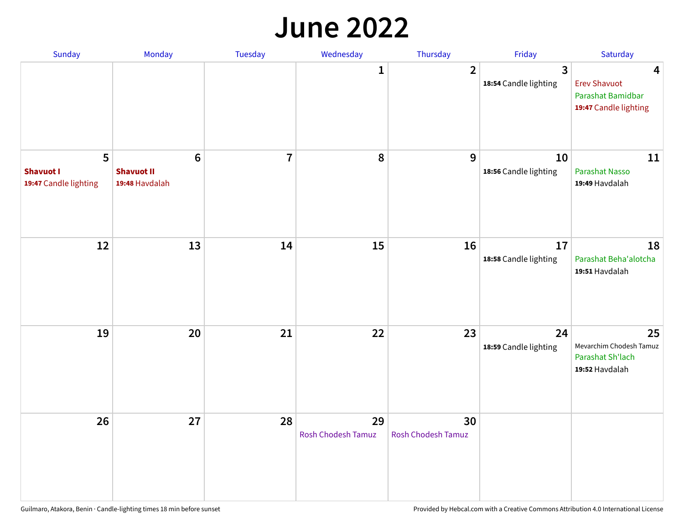#### **June 2022**

| Sunday                                         | Monday                                         | Tuesday        | Wednesday                       | Thursday                        | Friday                      | Saturday                                                                                     |
|------------------------------------------------|------------------------------------------------|----------------|---------------------------------|---------------------------------|-----------------------------|----------------------------------------------------------------------------------------------|
|                                                |                                                |                | 1                               | $\overline{2}$                  | 3<br>18:54 Candle lighting  | $\overline{\mathbf{4}}$<br><b>Erev Shavuot</b><br>Parashat Bamidbar<br>19:47 Candle lighting |
| 5<br><b>Shavuot I</b><br>19:47 Candle lighting | $\bf 6$<br><b>Shavuot II</b><br>19:48 Havdalah | $\overline{7}$ | 8                               | 9                               | 10<br>18:56 Candle lighting | 11<br><b>Parashat Nasso</b><br>19:49 Havdalah                                                |
| 12                                             | 13                                             | 14             | 15                              | 16                              | 17<br>18:58 Candle lighting | 18<br>Parashat Beha'alotcha<br>19:51 Havdalah                                                |
| 19                                             | 20                                             | 21             | 22                              | 23                              | 24<br>18:59 Candle lighting | 25<br>Mevarchim Chodesh Tamuz<br>Parashat Sh'lach<br>19:52 Havdalah                          |
| 26                                             | 27                                             | 28             | 29<br><b>Rosh Chodesh Tamuz</b> | 30<br><b>Rosh Chodesh Tamuz</b> |                             |                                                                                              |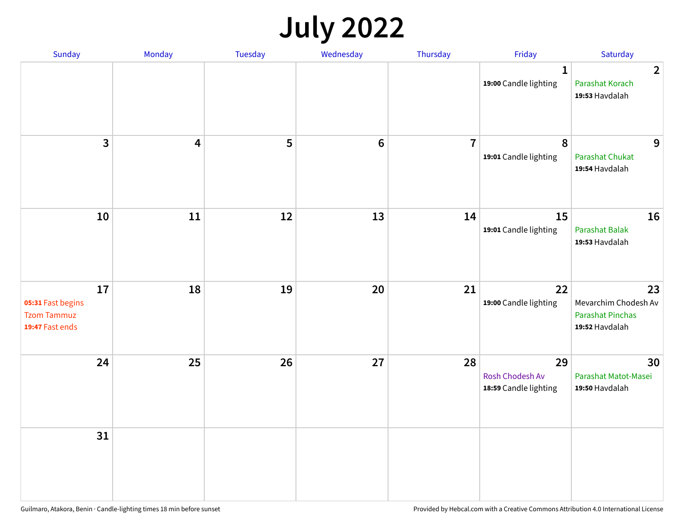## **July 2022**

| Sunday                                                           | Monday                  | Tuesday | Wednesday      | Thursday       | Friday                                         | Saturday                                                                |
|------------------------------------------------------------------|-------------------------|---------|----------------|----------------|------------------------------------------------|-------------------------------------------------------------------------|
|                                                                  |                         |         |                |                | $\mathbf{1}$<br>19:00 Candle lighting          | $\overline{2}$<br>Parashat Korach<br>19:53 Havdalah                     |
| $\mathbf{3}$                                                     | $\overline{\mathbf{4}}$ | 5       | $6\phantom{1}$ | $\overline{7}$ | $\boldsymbol{8}$<br>19:01 Candle lighting      | 9<br><b>Parashat Chukat</b><br>19:54 Havdalah                           |
| 10                                                               | 11                      | 12      | 13             | 14             | 15<br>19:01 Candle lighting                    | 16<br><b>Parashat Balak</b><br>19:53 Havdalah                           |
| 17<br>05:31 Fast begins<br><b>Tzom Tammuz</b><br>19:47 Fast ends | 18                      | 19      | 20             | 21             | 22<br>19:00 Candle lighting                    | 23<br>Mevarchim Chodesh Av<br><b>Parashat Pinchas</b><br>19:52 Havdalah |
| 24                                                               | 25                      | 26      | 27             | 28             | 29<br>Rosh Chodesh Av<br>18:59 Candle lighting | 30<br>Parashat Matot-Masei<br>19:50 Havdalah                            |
| 31                                                               |                         |         |                |                |                                                |                                                                         |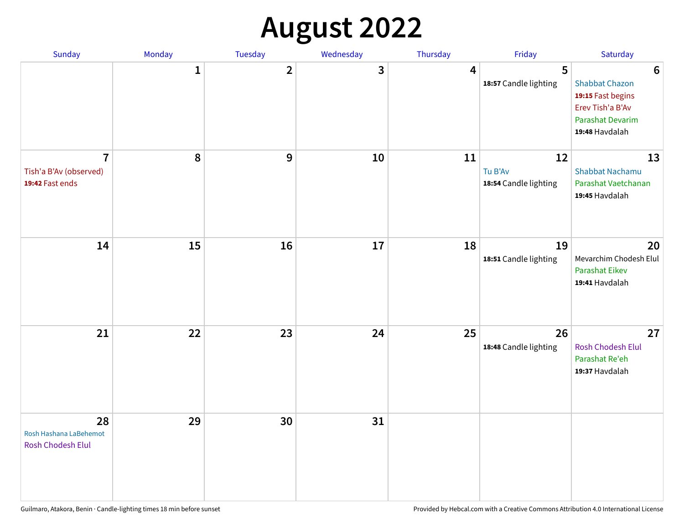## **August 2022**

| Sunday                                                      | Monday       | Tuesday                 | Wednesday | Thursday | Friday                                 | Saturday                                                                                                                       |
|-------------------------------------------------------------|--------------|-------------------------|-----------|----------|----------------------------------------|--------------------------------------------------------------------------------------------------------------------------------|
|                                                             | $\mathbf{1}$ | $\overline{\mathbf{2}}$ | 3         | 4        | 5<br>18:57 Candle lighting             | $6\phantom{1}6$<br><b>Shabbat Chazon</b><br>19:15 Fast begins<br>Erev Tish'a B'Av<br><b>Parashat Devarim</b><br>19:48 Havdalah |
| $\overline{7}$<br>Tish'a B'Av (observed)<br>19:42 Fast ends | 8            | 9                       | 10        | 11       | 12<br>Tu B'Av<br>18:54 Candle lighting | 13<br><b>Shabbat Nachamu</b><br>Parashat Vaetchanan<br>19:45 Havdalah                                                          |
| 14                                                          | 15           | 16                      | 17        | 18       | 19<br>18:51 Candle lighting            | 20<br>Mevarchim Chodesh Elul<br><b>Parashat Eikev</b><br>19:41 Havdalah                                                        |
| 21                                                          | 22           | 23                      | 24        | 25       | 26<br>18:48 Candle lighting            | 27<br><b>Rosh Chodesh Elul</b><br>Parashat Re'eh<br>19:37 Havdalah                                                             |
| 28<br>Rosh Hashana LaBehemot<br><b>Rosh Chodesh Elul</b>    | 29           | 30                      | 31        |          |                                        |                                                                                                                                |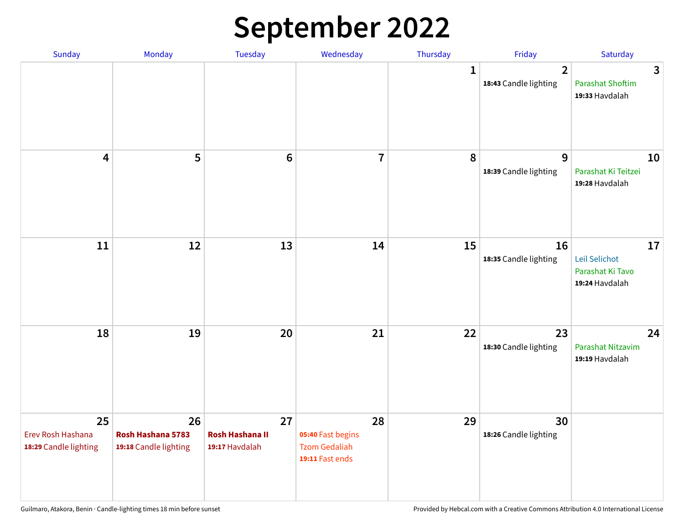## **September 2022**

| Sunday                                           | Monday                                           | Tuesday                                        | Wednesday                                                          | Thursday     | Friday                                  | Saturday                                                  |
|--------------------------------------------------|--------------------------------------------------|------------------------------------------------|--------------------------------------------------------------------|--------------|-----------------------------------------|-----------------------------------------------------------|
|                                                  |                                                  |                                                |                                                                    | $\mathbf{1}$ | $\overline{2}$<br>18:43 Candle lighting | 3<br><b>Parashat Shoftim</b><br>19:33 Havdalah            |
| $\overline{\mathbf{4}}$                          | 5                                                | $6\phantom{1}6$                                | $\overline{7}$                                                     | 8            | 9<br>18:39 Candle lighting              | 10<br>Parashat Ki Teitzei<br>19:28 Havdalah               |
| $11\,$                                           | 12                                               | 13                                             | 14                                                                 | 15           | 16<br>18:35 Candle lighting             | 17<br>Leil Selichot<br>Parashat Ki Tavo<br>19:24 Havdalah |
| 18                                               | 19                                               | 20                                             | 21                                                                 | 22           | 23<br>18:30 Candle lighting             | 24<br>Parashat Nitzavim<br>19:19 Havdalah                 |
| 25<br>Erev Rosh Hashana<br>18:29 Candle lighting | 26<br>Rosh Hashana 5783<br>19:18 Candle lighting | 27<br><b>Rosh Hashana II</b><br>19:17 Havdalah | 28<br>05:40 Fast begins<br><b>Tzom Gedaliah</b><br>19:11 Fast ends | 29           | 30<br>18:26 Candle lighting             |                                                           |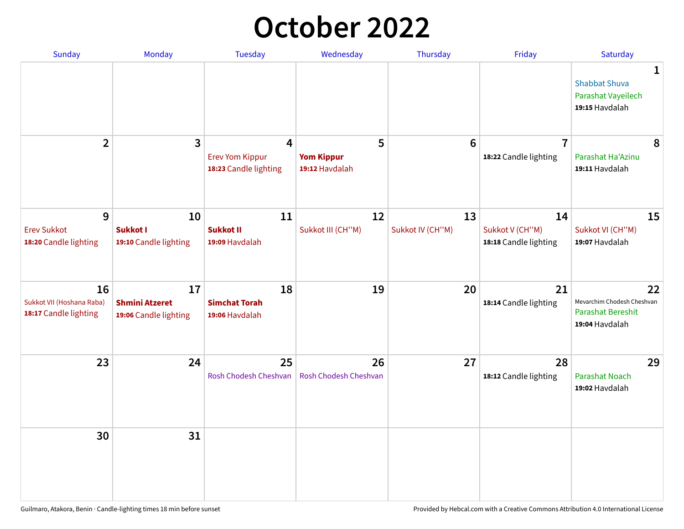## **October 2022**

| <b>Sunday</b>                                            | <b>Monday</b>                                        | <b>Tuesday</b>                                       | Wednesday                                | Thursday               | Friday                                         | Saturday                                                                     |
|----------------------------------------------------------|------------------------------------------------------|------------------------------------------------------|------------------------------------------|------------------------|------------------------------------------------|------------------------------------------------------------------------------|
|                                                          |                                                      |                                                      |                                          |                        |                                                | $\mathbf{1}$<br><b>Shabbat Shuva</b><br>Parashat Vayeilech<br>19:15 Havdalah |
| $\overline{2}$                                           | 3                                                    | 4<br><b>Erev Yom Kippur</b><br>18:23 Candle lighting | 5<br><b>Yom Kippur</b><br>19:12 Havdalah | $6\phantom{1}6$        | $\overline{7}$<br>18:22 Candle lighting        | 8<br>Parashat Ha'Azinu<br>19:11 Havdalah                                     |
| 9<br><b>Erev Sukkot</b><br>18:20 Candle lighting         | 10<br><b>Sukkot I</b><br>19:10 Candle lighting       | 11<br><b>Sukkot II</b><br>19:09 Havdalah             | 12<br>Sukkot III (CH"M)                  | 13<br>Sukkot IV (CH"M) | 14<br>Sukkot V (CH"M)<br>18:18 Candle lighting | 15<br>Sukkot VI (CH"M)<br>19:07 Havdalah                                     |
| 16<br>Sukkot VII (Hoshana Raba)<br>18:17 Candle lighting | 17<br><b>Shmini Atzeret</b><br>19:06 Candle lighting | 18<br><b>Simchat Torah</b><br>19:06 Havdalah         | 19                                       | 20                     | 21<br>18:14 Candle lighting                    | 22<br>Mevarchim Chodesh Cheshvan<br>Parashat Bereshit<br>19:04 Havdalah      |
| 23                                                       | 24                                                   | 25<br>Rosh Chodesh Cheshvan                          | 26<br>Rosh Chodesh Cheshvan              | 27                     | 28<br>18:12 Candle lighting                    | 29<br><b>Parashat Noach</b><br>19:02 Havdalah                                |
| 30                                                       | 31                                                   |                                                      |                                          |                        |                                                |                                                                              |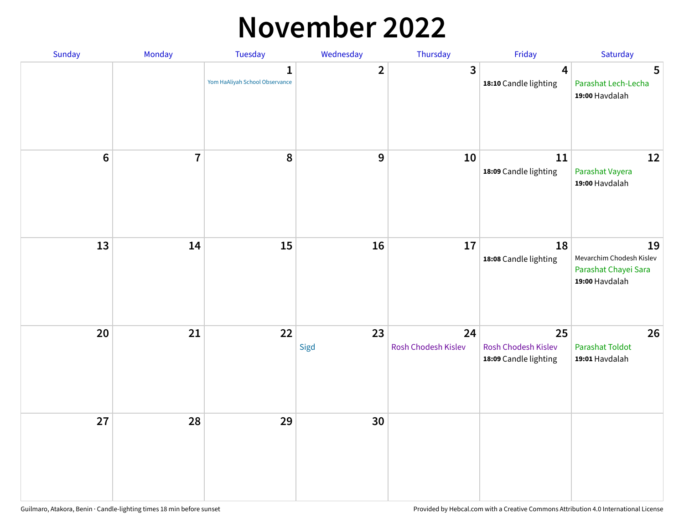### **November 2022**

| Sunday         | Monday                  | Tuesday                             | Wednesday               | Thursday                  | Friday                                             | Saturday                                                                 |
|----------------|-------------------------|-------------------------------------|-------------------------|---------------------------|----------------------------------------------------|--------------------------------------------------------------------------|
|                |                         | 1<br>Yom HaAliyah School Observance | $\overline{\mathbf{2}}$ | $\mathbf{3}$              | $\overline{\mathbf{4}}$<br>18:10 Candle lighting   | 5<br>Parashat Lech-Lecha<br>19:00 Havdalah                               |
| $6\phantom{1}$ | $\overline{\mathbf{I}}$ | 8                                   | $\boldsymbol{9}$        | 10                        | 11<br>18:09 Candle lighting                        | 12<br>Parashat Vayera<br>19:00 Havdalah                                  |
| 13             | 14                      | 15                                  | 16                      | 17                        | 18<br>18:08 Candle lighting                        | 19<br>Mevarchim Chodesh Kislev<br>Parashat Chayei Sara<br>19:00 Havdalah |
| 20             | 21                      | 22                                  | 23<br>Sigd              | 24<br>Rosh Chodesh Kislev | 25<br>Rosh Chodesh Kislev<br>18:09 Candle lighting | 26<br><b>Parashat Toldot</b><br>19:01 Havdalah                           |
| 27             | 28                      | 29                                  | 30                      |                           |                                                    |                                                                          |